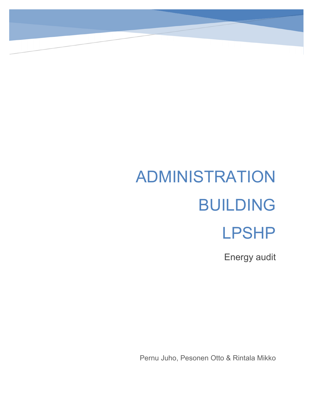# ADMINISTRATION BUILDING LPSHP

Energy audit

Pernu Juho, Pesonen Otto & Rintala Mikko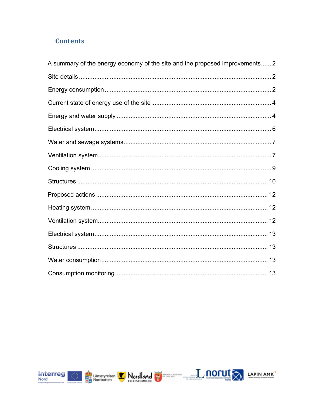## **Contents**

| A summary of the energy economy of the site and the proposed improvements 2 |  |
|-----------------------------------------------------------------------------|--|
|                                                                             |  |
|                                                                             |  |
|                                                                             |  |
|                                                                             |  |
|                                                                             |  |
|                                                                             |  |
|                                                                             |  |
|                                                                             |  |
|                                                                             |  |
|                                                                             |  |
|                                                                             |  |
|                                                                             |  |
|                                                                             |  |
|                                                                             |  |
|                                                                             |  |
|                                                                             |  |





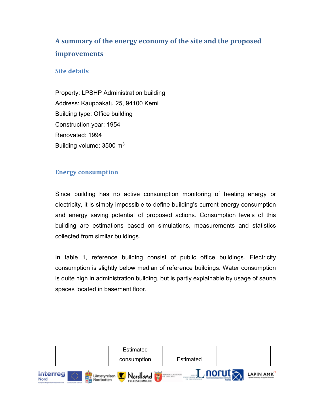# <span id="page-2-0"></span>**A summary of the energy economy of the site and the proposed improvements**

#### <span id="page-2-1"></span>**Site details**

Property: LPSHP Administration building Address: Kauppakatu 25, 94100 Kemi Building type: Office building Construction year: 1954 Renovated: 1994 Building volume:  $3500 \text{ m}^3$ 

#### <span id="page-2-2"></span>**Energy consumption**

Since building has no active consumption monitoring of heating energy or electricity, it is simply impossible to define building's current energy consumption and energy saving potential of proposed actions. Consumption levels of this building are estimations based on simulations, measurements and statistics collected from similar buildings.

In table 1, reference building consist of public office buildings. Electricity consumption is slightly below median of reference buildings. Water consumption is quite high in administration building, but is partly explainable by usage of sauna spaces located in basement floor.

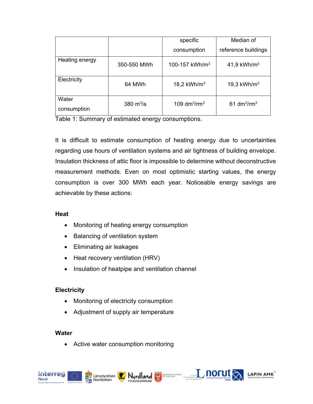|                      |             | specific                   | Median of           |
|----------------------|-------------|----------------------------|---------------------|
|                      |             | consumption                | reference buildings |
| Heating energy       | 350-550 MWh | 100-157 kWh/m <sup>3</sup> | 41,9 kWh/ $m3$      |
| Electricity          | 64 MWh      | 18,2 $kWh/m3$              | 19,3 $kWh/m3$       |
| Water<br>consumption | 380 $m^3/a$ | 109 $dm^3$ /rm $^3$        | 61 $dm^3$ / $rm^3$  |

Table 1: Summary of estimated energy consumptions.

It is difficult to estimate consumption of heating energy due to uncertainties regarding use hours of ventilation systems and air tightness of building envelope. Insulation thickness of attic floor is impossible to determine without deconstructive measurement methods. Even on most optimistic starting values, the energy consumption is over 300 MWh each year. Noticeable energy savings are achievable by these actions:

Nordland  $L$  **norut**  $\sqrt{ }$  **LAPIN AMK** 

#### **Heat**

- Monitoring of heating energy consumption
- Balancing of ventilation system
- Eliminating air leakages
- Heat recovery ventilation (HRV)
- Insulation of heatpipe and ventilation channel

#### **Electricity**

- Monitoring of electricity consumption
- Adjustment of supply air temperature

#### **Water**

• Active water consumption monitoring



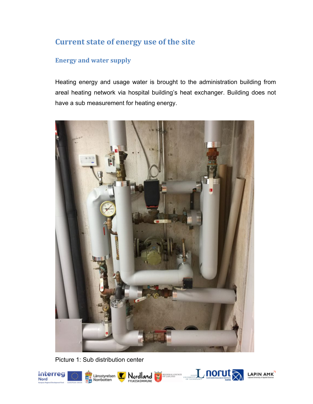# <span id="page-4-0"></span>**Current state of energy use of the site**

### <span id="page-4-1"></span>**Energy and water supply**

Heating energy and usage water is brought to the administration building from areal heating network via hospital building's heat exchanger. Building does not have a sub measurement for heating energy.



Picture 1: Sub distribution center

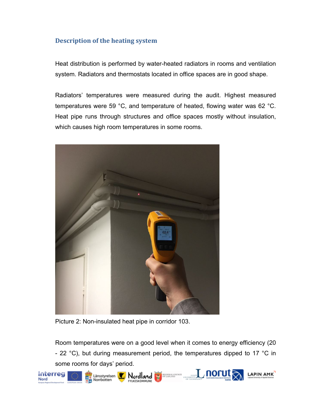#### **Description of the heating system**

Heat distribution is performed by water-heated radiators in rooms and ventilation system. Radiators and thermostats located in office spaces are in good shape.

Radiators' temperatures were measured during the audit. Highest measured temperatures were 59 °C, and temperature of heated, flowing water was 62 °C. Heat pipe runs through structures and office spaces mostly without insulation, which causes high room temperatures in some rooms.



Picture 2: Non-insulated heat pipe in corridor 103.

Room temperatures were on a good level when it comes to energy efficiency (20 - 22 °C), but during measurement period, the temperatures dipped to 17 °C in some rooms for days' period.

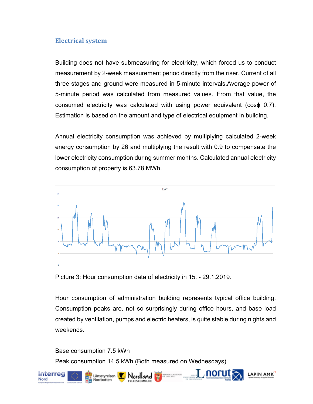#### <span id="page-6-0"></span>**Electrical system**

Building does not have submeasuring for electricity, which forced us to conduct measurement by 2-week measurement period directly from the riser. Current of all three stages and ground were measured in 5-minute intervals.Average power of 5-minute period was calculated from measured values. From that value, the consumed electricity was calculated with using power equivalent (cosϕ 0.7). Estimation is based on the amount and type of electrical equipment in building.

Annual electricity consumption was achieved by multiplying calculated 2-week energy consumption by 26 and multiplying the result with 0.9 to compensate the lower electricity consumption during summer months. Calculated annual electricity consumption of property is 63.78 MWh.



Picture 3: Hour consumption data of electricity in 15. - 29.1.2019.

Hour consumption of administration building represents typical office building. Consumption peaks are, not so surprisingly during office hours, and base load created by ventilation, pumps and electric heaters, is quite stable during nights and weekends.

Base consumption 7.5 kWh

Peak consumption 14.5 kWh (Both measured on Wednesdays)

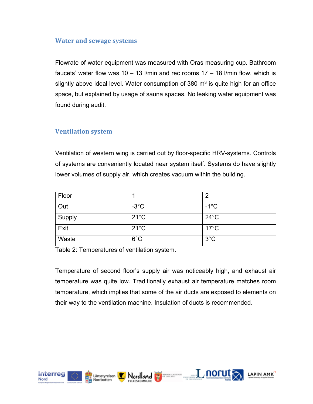#### <span id="page-7-0"></span>**Water and sewage systems**

Flowrate of water equipment was measured with Oras measuring cup. Bathroom faucets' water flow was  $10 - 13$  l/min and rec rooms  $17 - 18$  l/min flow, which is slightly above ideal level. Water consumption of 380  $m<sup>3</sup>$  is quite high for an office space, but explained by usage of sauna spaces. No leaking water equipment was found during audit.

#### <span id="page-7-1"></span>**Ventilation system**

Ventilation of western wing is carried out by floor-specific HRV-systems. Controls of systems are conveniently located near system itself. Systems do have slightly lower volumes of supply air, which creates vacuum within the building.

| Floor  |                | 2              |
|--------|----------------|----------------|
| Out    | $-3^{\circ}$ C | $-1^{\circ}$ C |
| Supply | $21^{\circ}$ C | $24^{\circ}$ C |
| Exit   | $21^{\circ}$ C | $17^{\circ}$ C |
| Waste  | $6^{\circ}$ C  | $3^{\circ}$ C  |

Table 2: Temperatures of ventilation system.

Temperature of second floor's supply air was noticeably high, and exhaust air temperature was quite low. Traditionally exhaust air temperature matches room temperature, which implies that some of the air ducts are exposed to elements on their way to the ventilation machine. Insulation of ducts is recommended.

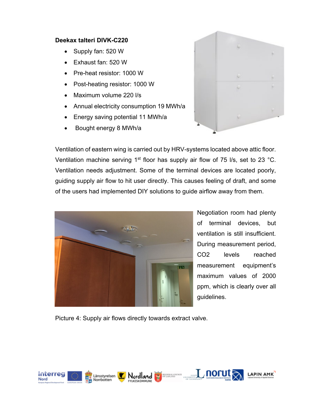#### **Deekax talteri DIVK-C220**

- Supply fan: 520 W
- Exhaust fan: 520 W
- Pre-heat resistor: 1000 W
- Post-heating resistor: 1000 W
- Maximum volume 220 l/s
- Annual electricity consumption 19 MWh/a
- Energy saving potential 11 MWh/a
- Bought energy 8 MWh/a



Ventilation of eastern wing is carried out by HRV-systems located above attic floor. Ventilation machine serving 1<sup>st</sup> floor has supply air flow of 75 l/s, set to 23 °C. Ventilation needs adjustment. Some of the terminal devices are located poorly, guiding supply air flow to hit user directly. This causes feeling of draft, and some of the users had implemented DIY solutions to guide airflow away from them.



Negotiation room had plenty of terminal devices, but ventilation is still insufficient. During measurement period, CO2 levels reached measurement equipment's maximum values of 2000 ppm, which is clearly over all guidelines.

Nordland  $L$  morut  $\lambda$  LAPIN AMK

Picture 4: Supply air flows directly towards extract valve.

Länsstyrelsen

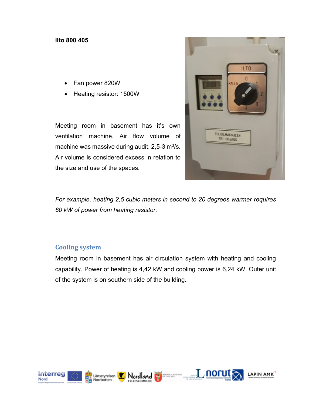#### **Ilto 800 405**

- Fan power 820W
- Heating resistor: 1500W

Meeting room in basement has it's own ventilation machine. Air flow volume of machine was massive during audit,  $2.5-3$  m<sup>3</sup>/s. Air volume is considered excess in relation to the size and use of the spaces.



*For example, heating 2,5 cubic meters in second to 20 degrees warmer requires 60 kW of power from heating resistor.*

#### <span id="page-9-0"></span>**Cooling system**

Meeting room in basement has air circulation system with heating and cooling capability. Power of heating is 4,42 kW and cooling power is 6,24 kW. Outer unit of the system is on southern side of the building.

Nordland  $L$  morut  $\lambda$  LAPIN AMK



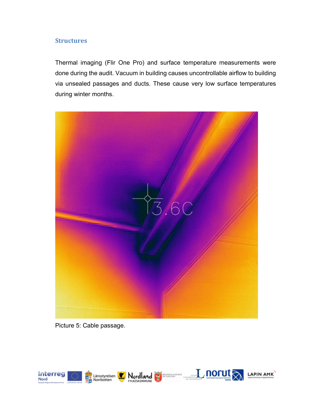#### <span id="page-10-0"></span>**Structures**

Thermal imaging (Flir One Pro) and surface temperature measurements were done during the audit. Vacuum in building causes uncontrollable airflow to building via unsealed passages and ducts. These cause very low surface temperatures during winter months.



Picture 5: Cable passage.

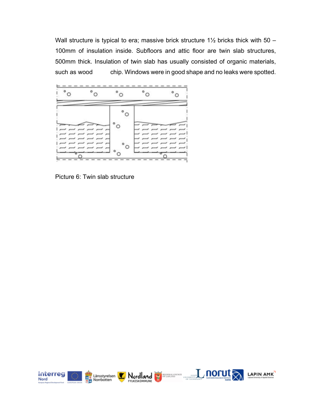Wall structure is typical to era; massive brick structure  $1\frac{1}{2}$  bricks thick with  $50 -$ 100mm of insulation inside. Subfloors and attic floor are twin slab structures, 500mm thick. Insulation of twin slab has usually consisted of organic materials, such as wood chip. Windows were in good shape and no leaks were spotted.



Picture 6: Twin slab structure







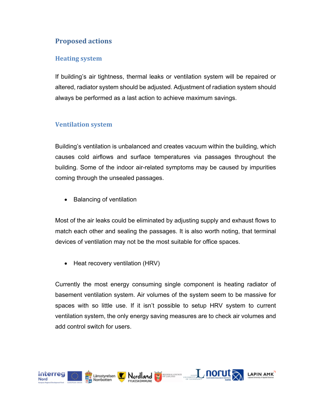## <span id="page-12-0"></span>**Proposed actions**

#### <span id="page-12-1"></span>**Heating system**

If building's air tightness, thermal leaks or ventilation system will be repaired or altered, radiator system should be adjusted. Adjustment of radiation system should always be performed as a last action to achieve maximum savings.

#### <span id="page-12-2"></span>**Ventilation system**

Building's ventilation is unbalanced and creates vacuum within the building, which causes cold airflows and surface temperatures via passages throughout the building. Some of the indoor air-related symptoms may be caused by impurities coming through the unsealed passages.

• Balancing of ventilation

Most of the air leaks could be eliminated by adjusting supply and exhaust flows to match each other and sealing the passages. It is also worth noting, that terminal devices of ventilation may not be the most suitable for office spaces.

• Heat recovery ventilation (HRV)

Currently the most energy consuming single component is heating radiator of basement ventilation system. Air volumes of the system seem to be massive for spaces with so little use. If it isn't possible to setup HRV system to current ventilation system, the only energy saving measures are to check air volumes and add control switch for users.